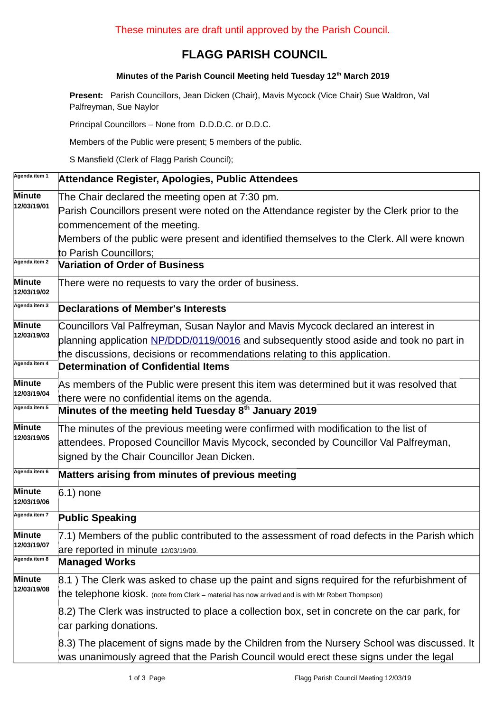## **FLAGG PARISH COUNCIL**

## **Minutes of the Parish Council Meeting held Tuesday 12th March 2019**

**Present:** Parish Councillors, Jean Dicken (Chair), Mavis Mycock (Vice Chair) Sue Waldron, Val Palfreyman, Sue Naylor

Principal Councillors – None from D.D.D.C. or D.D.C.

Members of the Public were present; 5 members of the public.

S Mansfield (Clerk of Flagg Parish Council);

| Agenda item 1                | Attendance Register, Apologies, Public Attendees                                                 |  |  |  |  |  |
|------------------------------|--------------------------------------------------------------------------------------------------|--|--|--|--|--|
| <b>Minute</b>                | The Chair declared the meeting open at 7:30 pm.                                                  |  |  |  |  |  |
| 12/03/19/01                  | Parish Councillors present were noted on the Attendance register by the Clerk prior to the       |  |  |  |  |  |
|                              | commencement of the meeting.                                                                     |  |  |  |  |  |
|                              | Members of the public were present and identified themselves to the Clerk. All were known        |  |  |  |  |  |
|                              | to Parish Councillors;                                                                           |  |  |  |  |  |
| Agenda item 2                | <b>Variation of Order of Business</b>                                                            |  |  |  |  |  |
| <b>Minute</b><br>12/03/19/02 | There were no requests to vary the order of business.                                            |  |  |  |  |  |
| Agenda item 3                | <b>Declarations of Member's Interests</b>                                                        |  |  |  |  |  |
| <b>Minute</b>                | Councillors Val Palfreyman, Susan Naylor and Mavis Mycock declared an interest in                |  |  |  |  |  |
| 12/03/19/03                  | planning application NP/DDD/0119/0016 and subsequently stood aside and took no part in           |  |  |  |  |  |
|                              | the discussions, decisions or recommendations relating to this application.                      |  |  |  |  |  |
| Agenda item 4                | <b>Determination of Confidential Items</b>                                                       |  |  |  |  |  |
| <b>Minute</b><br>12/03/19/04 | As members of the Public were present this item was determined but it was resolved that          |  |  |  |  |  |
|                              | there were no confidential items on the agenda.                                                  |  |  |  |  |  |
| Agenda item 5                | Minutes of the meeting held Tuesday 8 <sup>th</sup> January 2019                                 |  |  |  |  |  |
| Minute                       | The minutes of the previous meeting were confirmed with modification to the list of              |  |  |  |  |  |
| 12/03/19/05                  | attendees. Proposed Councillor Mavis Mycock, seconded by Councillor Val Palfreyman,              |  |  |  |  |  |
|                              | signed by the Chair Councillor Jean Dicken.                                                      |  |  |  |  |  |
| Agenda item 6                | Matters arising from minutes of previous meeting                                                 |  |  |  |  |  |
| <b>Minute</b>                | $6.1$ ) none                                                                                     |  |  |  |  |  |
| 12/03/19/06                  |                                                                                                  |  |  |  |  |  |
| Agenda item 7                | <b>Public Speaking</b>                                                                           |  |  |  |  |  |
| <b>Minute</b><br>12/03/19/07 | 7.1) Members of the public contributed to the assessment of road defects in the Parish which     |  |  |  |  |  |
|                              | are reported in minute 12/03/19/09.                                                              |  |  |  |  |  |
| Agenda item 8                | <b>Managed Works</b>                                                                             |  |  |  |  |  |
| <b>Minute</b>                | 8.1) The Clerk was asked to chase up the paint and signs required for the refurbishment of       |  |  |  |  |  |
| 12/03/19/08                  | the telephone kiosk. (note from Clerk - material has now arrived and is with Mr Robert Thompson) |  |  |  |  |  |
|                              | 8.2) The Clerk was instructed to place a collection box, set in concrete on the car park, for    |  |  |  |  |  |
|                              | car parking donations.                                                                           |  |  |  |  |  |
|                              | 8.3) The placement of signs made by the Children from the Nursery School was discussed. It       |  |  |  |  |  |
|                              | was unanimously agreed that the Parish Council would erect these signs under the legal           |  |  |  |  |  |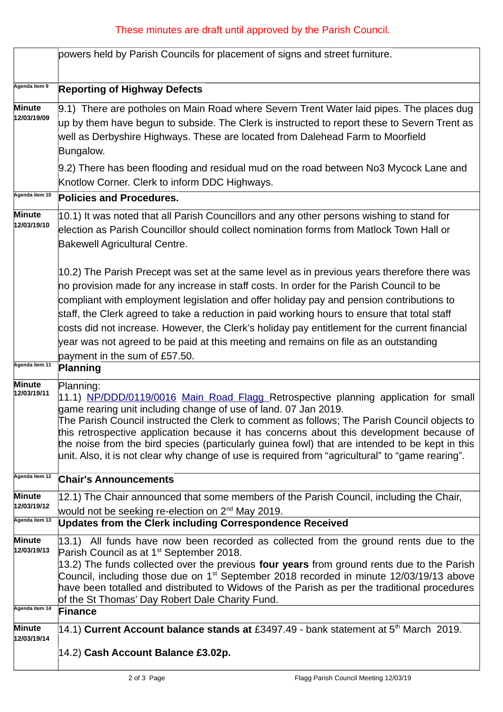## These minutes are draft until approved by the Parish Council.

|                              | powers held by Parish Councils for placement of signs and street furniture.                                                                                                                                                                                                                                                                                                                                                                                                                                                                                                                                             |  |  |  |  |  |
|------------------------------|-------------------------------------------------------------------------------------------------------------------------------------------------------------------------------------------------------------------------------------------------------------------------------------------------------------------------------------------------------------------------------------------------------------------------------------------------------------------------------------------------------------------------------------------------------------------------------------------------------------------------|--|--|--|--|--|
| Agenda item 9                | <b>Reporting of Highway Defects</b>                                                                                                                                                                                                                                                                                                                                                                                                                                                                                                                                                                                     |  |  |  |  |  |
| Minute<br>12/03/19/09        | 9.1) There are potholes on Main Road where Severn Trent Water laid pipes. The places dug<br>up by them have begun to subside. The Clerk is instructed to report these to Severn Trent as<br>well as Derbyshire Highways. These are located from Dalehead Farm to Moorfield<br>Bungalow.                                                                                                                                                                                                                                                                                                                                 |  |  |  |  |  |
|                              | 9.2) There has been flooding and residual mud on the road between No3 Mycock Lane and<br>Knotlow Corner. Clerk to inform DDC Highways.                                                                                                                                                                                                                                                                                                                                                                                                                                                                                  |  |  |  |  |  |
| Agenda item 10               | <b>Policies and Procedures.</b>                                                                                                                                                                                                                                                                                                                                                                                                                                                                                                                                                                                         |  |  |  |  |  |
| <b>Minute</b><br>12/03/19/10 | $ 10.1\rangle$ It was noted that all Parish Councillors and any other persons wishing to stand for<br>election as Parish Councillor should collect nomination forms from Matlock Town Hall or<br><b>Bakewell Agricultural Centre.</b>                                                                                                                                                                                                                                                                                                                                                                                   |  |  |  |  |  |
|                              | $ 10.2\rangle$ The Parish Precept was set at the same level as in previous years therefore there was<br>no provision made for any increase in staff costs. In order for the Parish Council to be<br>compliant with employment legislation and offer holiday pay and pension contributions to<br>staff, the Clerk agreed to take a reduction in paid working hours to ensure that total staff<br>costs did not increase. However, the Clerk's holiday pay entitlement for the current financial<br>year was not agreed to be paid at this meeting and remains on file as an outstanding<br>payment in the sum of £57.50. |  |  |  |  |  |
| Agenda item 11               | Planning                                                                                                                                                                                                                                                                                                                                                                                                                                                                                                                                                                                                                |  |  |  |  |  |
| <b>Minute</b><br>12/03/19/11 | Planning:<br>11.1) NP/DDD/0119/0016 Main Road Flagg Retrospective planning application for small<br>game rearing unit including change of use of land. 07 Jan 2019.<br>The Parish Council instructed the Clerk to comment as follows; The Parish Council objects to<br>this retrospective application because it has concerns about this development because of<br>the noise from the bird species (particularly guinea fowl) that are intended to be kept in this<br>unit. Also, it is not clear why change of use is required from "agricultural" to "game rearing".                                                  |  |  |  |  |  |
| Agenda item 12               | <b>Chair's Announcements</b>                                                                                                                                                                                                                                                                                                                                                                                                                                                                                                                                                                                            |  |  |  |  |  |
| <b>Minute</b><br>12/03/19/12 | 12.1) The Chair announced that some members of the Parish Council, including the Chair,                                                                                                                                                                                                                                                                                                                                                                                                                                                                                                                                 |  |  |  |  |  |
| Agenda item 13               | would not be seeking re-election on 2 <sup>nd</sup> May 2019.<br><b>Updates from the Clerk including Correspondence Received</b>                                                                                                                                                                                                                                                                                                                                                                                                                                                                                        |  |  |  |  |  |
| <b>Minute</b><br>12/03/19/13 | $ 13.1\rangle$ All funds have now been recorded as collected from the ground rents due to the<br>Parish Council as at 1 <sup>st</sup> September 2018.<br>13.2) The funds collected over the previous four years from ground rents due to the Parish<br>Council, including those due on $1st$ September 2018 recorded in minute 12/03/19/13 above<br>have been totalled and distributed to Widows of the Parish as per the traditional procedures<br>of the St Thomas' Day Robert Dale Charity Fund.                                                                                                                     |  |  |  |  |  |
| Agenda item 14               | <b>Finance</b>                                                                                                                                                                                                                                                                                                                                                                                                                                                                                                                                                                                                          |  |  |  |  |  |
| <b>Minute</b><br>12/03/19/14 | 14.1) Current Account balance stands at £3497.49 - bank statement at 5 <sup>th</sup> March 2019.<br>14.2) Cash Account Balance £3.02p.                                                                                                                                                                                                                                                                                                                                                                                                                                                                                  |  |  |  |  |  |